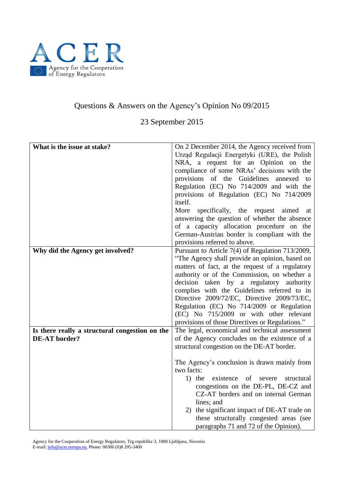

## Questions & Answers on the Agency's Opinion No 09/2015

23 September 2015

| What is the issue at stake?                    | On 2 December 2014, the Agency received from<br>Urząd Regulacji Energetyki (URE), the Polish<br>NRA, a request for an Opinion on the<br>compliance of some NRAs' decisions with the<br>provisions of the Guidelines annexed to<br>Regulation (EC) No 714/2009 and with the<br>provisions of Regulation (EC) No 714/2009<br>itself.<br>More<br>specifically, the request aimed<br>at<br>answering the question of whether the absence<br>of a capacity allocation procedure on the<br>German-Austrian border is compliant with the<br>provisions referred to above. |
|------------------------------------------------|--------------------------------------------------------------------------------------------------------------------------------------------------------------------------------------------------------------------------------------------------------------------------------------------------------------------------------------------------------------------------------------------------------------------------------------------------------------------------------------------------------------------------------------------------------------------|
| Why did the Agency get involved?               | Pursuant to Article 7(4) of Regulation 713/2009,                                                                                                                                                                                                                                                                                                                                                                                                                                                                                                                   |
|                                                | "The Agency shall provide an opinion, based on                                                                                                                                                                                                                                                                                                                                                                                                                                                                                                                     |
|                                                | matters of fact, at the request of a regulatory                                                                                                                                                                                                                                                                                                                                                                                                                                                                                                                    |
|                                                | authority or of the Commission, on whether a                                                                                                                                                                                                                                                                                                                                                                                                                                                                                                                       |
|                                                | decision taken by a regulatory authority<br>complies with the Guidelines referred to in                                                                                                                                                                                                                                                                                                                                                                                                                                                                            |
|                                                | Directive 2009/72/EC, Directive 2009/73/EC,                                                                                                                                                                                                                                                                                                                                                                                                                                                                                                                        |
|                                                | Regulation (EC) No 714/2009 or Regulation                                                                                                                                                                                                                                                                                                                                                                                                                                                                                                                          |
|                                                | (EC) No 715/2009 or with other relevant                                                                                                                                                                                                                                                                                                                                                                                                                                                                                                                            |
|                                                | provisions of those Directives or Regulations."                                                                                                                                                                                                                                                                                                                                                                                                                                                                                                                    |
| Is there really a structural congestion on the | The legal, economical and technical assessment                                                                                                                                                                                                                                                                                                                                                                                                                                                                                                                     |
| <b>DE-AT</b> border?                           | of the Agency concludes on the existence of a                                                                                                                                                                                                                                                                                                                                                                                                                                                                                                                      |
|                                                | structural congestion on the DE-AT border.                                                                                                                                                                                                                                                                                                                                                                                                                                                                                                                         |
|                                                | The Agency's conclusion is drawn mainly from                                                                                                                                                                                                                                                                                                                                                                                                                                                                                                                       |
|                                                | two facts:                                                                                                                                                                                                                                                                                                                                                                                                                                                                                                                                                         |
|                                                | $1)$ the<br>existence<br>of<br>severe<br>structural                                                                                                                                                                                                                                                                                                                                                                                                                                                                                                                |
|                                                | congestions on the DE-PL, DE-CZ and                                                                                                                                                                                                                                                                                                                                                                                                                                                                                                                                |
|                                                | CZ-AT borders and on internal German                                                                                                                                                                                                                                                                                                                                                                                                                                                                                                                               |
|                                                | lines; and                                                                                                                                                                                                                                                                                                                                                                                                                                                                                                                                                         |
|                                                | 2) the significant impact of DE-AT trade on                                                                                                                                                                                                                                                                                                                                                                                                                                                                                                                        |
|                                                | these structurally congested areas (see                                                                                                                                                                                                                                                                                                                                                                                                                                                                                                                            |
|                                                | paragraphs 71 and 72 of the Opinion).                                                                                                                                                                                                                                                                                                                                                                                                                                                                                                                              |

Agency for the Cooperation of Energy Regulators, Trg republike 3, 1000 Ljubljana, Slovenia E-mail[: info@acer.europa.eu,](mailto:info@acer.europa.eu) Phone: 00386 (0)8 205-3400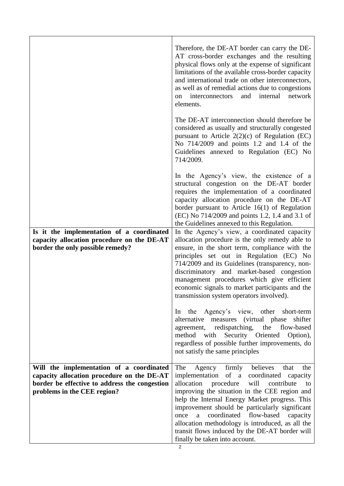|                                                                                                                                                                        | Therefore, the DE-AT border can carry the DE-<br>AT cross-border exchanges and the resulting<br>physical flows only at the expense of significant<br>limitations of the available cross-border capacity<br>and international trade on other interconnectors,<br>as well as of remedial actions due to congestions<br>internal<br>interconnectors<br>and<br>network<br>on<br>elements.                                                                                                                            |
|------------------------------------------------------------------------------------------------------------------------------------------------------------------------|------------------------------------------------------------------------------------------------------------------------------------------------------------------------------------------------------------------------------------------------------------------------------------------------------------------------------------------------------------------------------------------------------------------------------------------------------------------------------------------------------------------|
|                                                                                                                                                                        | The DE-AT interconnection should therefore be.<br>considered as usually and structurally congested<br>pursuant to Article $2(2)(c)$ of Regulation (EC)<br>No 714/2009 and points 1.2 and 1.4 of the<br>Guidelines annexed to Regulation (EC) No<br>714/2009.                                                                                                                                                                                                                                                     |
|                                                                                                                                                                        | In the Agency's view, the existence of a<br>structural congestion on the DE-AT border<br>requires the implementation of a coordinated<br>capacity allocation procedure on the DE-AT<br>border pursuant to Article 16(1) of Regulation<br>(EC) No 714/2009 and points 1.2, 1.4 and 3.1 of<br>the Guidelines annexed to this Regulation.                                                                                                                                                                           |
| Is it the implementation of a coordinated<br>capacity allocation procedure on the DE-AT<br>border the only possible remedy?                                            | In the Agency's view, a coordinated capacity<br>allocation procedure is the only remedy able to<br>ensure, in the short term, compliance with the<br>principles set out in Regulation (EC) No<br>714/2009 and its Guidelines (transparency, non-<br>discriminatory and market-based congestion<br>management procedures which give efficient<br>economic signals to market participants and the<br>transmission system operators involved).                                                                      |
|                                                                                                                                                                        | In the Agency's view, other<br>short-term<br>alternative measures (virtual phase shifter<br>agreement, redispatching, the<br>flow-based<br>method with Security Oriented<br>Option),<br>regardless of possible further improvements, do<br>not satisfy the same principles                                                                                                                                                                                                                                       |
| Will the implementation of a coordinated<br>capacity allocation procedure on the DE-AT<br>border be effective to address the congestion<br>problems in the CEE region? | The<br>firmly believes<br>Agency<br>that<br>the<br>implementation of a coordinated capacity<br>allocation<br>procedure<br>will<br>contribute<br>to<br>improving the situation in the CEE region and<br>help the Internal Energy Market progress. This<br>improvement should be particularly significant<br>coordinated<br>flow-based<br>once<br>$\mathbf{a}$<br>capacity<br>allocation methodology is introduced, as all the<br>transit flows induced by the DE-AT border will<br>finally be taken into account. |